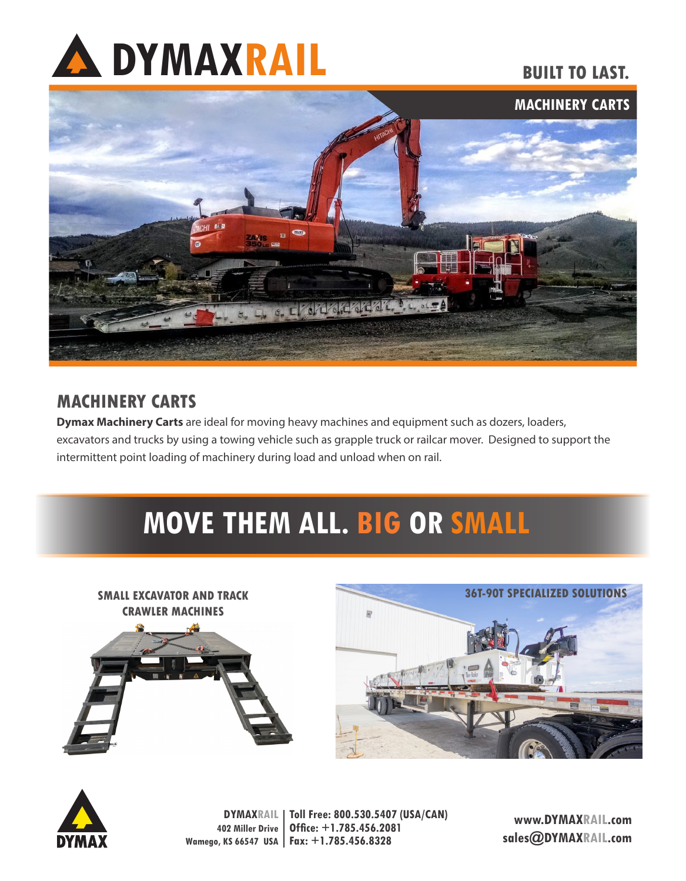

## **BUILT TO LAST.**



## **MACHINERY CARTS**

**Dymax Machinery Carts** are ideal for moving heavy machines and equipment such as dozers, loaders, excavators and trucks by using a towing vehicle such as grapple truck or railcar mover. Designed to support the intermittent point loading of machinery during load and unload when on rail.

## **MOVE THEM ALL. BIG OR SMALL**





**DYMAXRAIL 402 Miller Drive Wamego, KS 66547 USA Fax: +1.785.456.8328 Toll Free: 800.530.5407 (USA/CAN) Office: +1.785.456.2081**

**www.DYMAXRAIL.com sales@DYMAXRAIL.com**